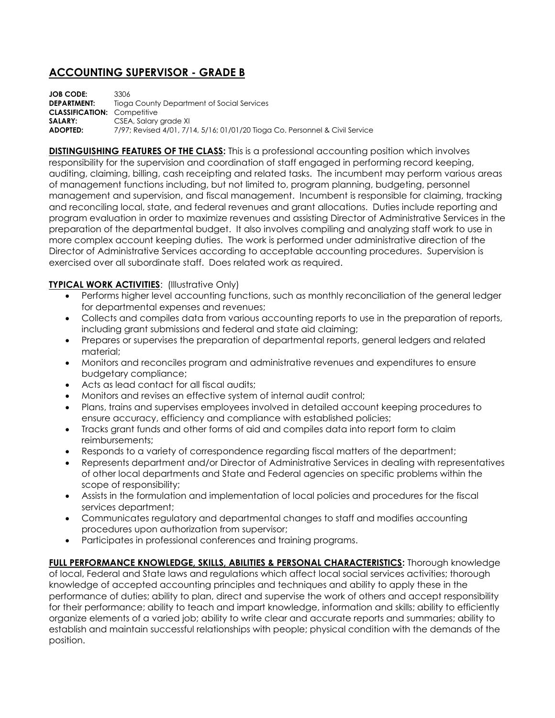## **ACCOUNTING SUPERVISOR - GRADE B**

**JOB CODE:** 3306 **DEPARTMENT:** Tioga County Department of Social Services **CLASSIFICATION:** Competitive **SALARY:** CSEA, Salary grade XI **ADOPTED:** 7/97; Revised 4/01, 7/14, 5/16; 01/01/20 Tioga Co. Personnel & Civil Service

**DISTINGUISHING FEATURES OF THE CLASS:** This is a professional accounting position which involves responsibility for the supervision and coordination of staff engaged in performing record keeping, auditing, claiming, billing, cash receipting and related tasks. The incumbent may perform various areas of management functions including, but not limited to, program planning, budgeting, personnel management and supervision, and fiscal management. Incumbent is responsible for claiming, tracking and reconciling local, state, and federal revenues and grant allocations. Duties include reporting and program evaluation in order to maximize revenues and assisting Director of Administrative Services in the preparation of the departmental budget. It also involves compiling and analyzing staff work to use in more complex account keeping duties. The work is performed under administrative direction of the Director of Administrative Services according to acceptable accounting procedures. Supervision is exercised over all subordinate staff. Does related work as required.

## **TYPICAL WORK ACTIVITIES: (Illustrative Only)**

- Performs higher level accounting functions, such as monthly reconciliation of the general ledger for departmental expenses and revenues;
- Collects and compiles data from various accounting reports to use in the preparation of reports, including grant submissions and federal and state aid claiming;
- Prepares or supervises the preparation of departmental reports, general ledgers and related material;
- Monitors and reconciles program and administrative revenues and expenditures to ensure budgetary compliance;
- Acts as lead contact for all fiscal audits;
- Monitors and revises an effective system of internal audit control;
- Plans, trains and supervises employees involved in detailed account keeping procedures to ensure accuracy, efficiency and compliance with established policies;
- Tracks grant funds and other forms of aid and compiles data into report form to claim reimbursements;
- Responds to a variety of correspondence regarding fiscal matters of the department;
- Represents department and/or Director of Administrative Services in dealing with representatives of other local departments and State and Federal agencies on specific problems within the scope of responsibility;
- Assists in the formulation and implementation of local policies and procedures for the fiscal services department;
- Communicates regulatory and departmental changes to staff and modifies accounting procedures upon authorization from supervisor;
- Participates in professional conferences and training programs.

**FULL PERFORMANCE KNOWLEDGE, SKILLS, ABILITIES & PERSONAL CHARACTERISTICS:** Thorough knowledge of local, Federal and State laws and regulations which affect local social services activities; thorough knowledge of accepted accounting principles and techniques and ability to apply these in the performance of duties; ability to plan, direct and supervise the work of others and accept responsibility for their performance; ability to teach and impart knowledge, information and skills; ability to efficiently organize elements of a varied job; ability to write clear and accurate reports and summaries; ability to establish and maintain successful relationships with people; physical condition with the demands of the position.